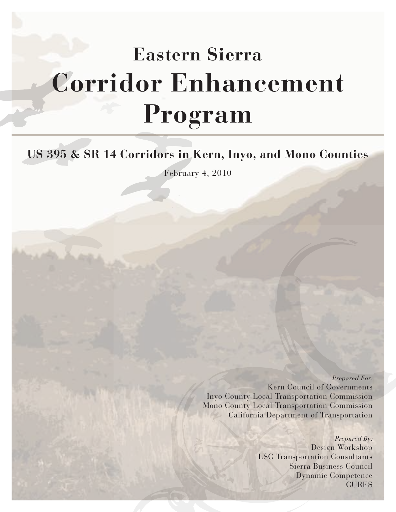# **Eastern Sierra Corridor Enhancement Program**

# **US 395 & SR 14 Corridors in Kern, Inyo, and Mono Counties**

February 4, 2010

Prepared For: Kern Council of Governments Inyo County Local Transportation Commission Mono County Local Transportation Commission California Department of Transportation

> Prepared By: Design Workshop LSC Transportation Consultants Sierra Business Council Dynamic Competence CURES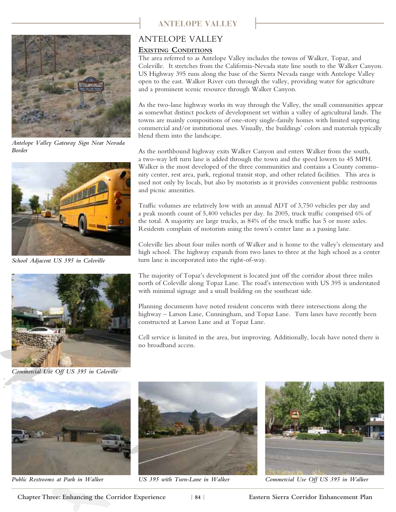

*Antelope Valley Gateway Sign Near Nevada Border*



*School Adjacent US 395 in Coleville*



*Commercial Use Off US 395 in Coleville*

# **Antelope Valley**

# ANTELOPE VALLEY

### **Existing Conditions**

The area referred to as Antelope Valley includes the towns of Walker, Topaz, and Coleville. It stretches from the California-Nevada state line south to the Walker Canyon. US Highway 395 runs along the base of the Sierra Nevada range with Antelope Valley open to the east. Walker River cuts through the valley, providing water for agriculture and a prominent scenic resource through Walker Canyon.

As the two-lane highway works its way through the Valley, the small communities appear as somewhat distinct pockets of development set within a valley of agricultural lands. The towns are mainly compositions of one-story single-family homes with limited supporting commercial and/or institutional uses. Visually, the buildings' colors and materials typically blend them into the landscape.

As the northbound highway exits Walker Canyon and enters Walker from the south, a two-way left turn lane is added through the town and the speed lowers to 45 MPH. Walker is the most developed of the three communities and contains a County community center, rest area, park, regional transit stop, and other related facilities. This area is used not only by locals, but also by motorists as it provides convenient public restrooms and picnic amenities.

Traffic volumes are relatively low with an annual ADT of 3,750 vehicles per day and a peak month count of 5,400 vehicles per day. In 2005, truck traffic comprised 6% of the total. A majority are large trucks, as 84% of the truck traffic has 5 or more axles. Residents complain of motorists using the town's center lane as a passing lane.

Coleville lies about four miles north of Walker and is home to the valley's elementary and high school. The highway expands from two lanes to three at the high school as a center turn lane is incorporated into the right-of-way.

The majority of Topaz's development is located just off the corridor about three miles north of Coleville along Topaz Lane. The road's intersection with US 395 is understated with minimal signage and a small building on the southeast side.

Planning documents have noted resident concerns with three intersections along the highway – Larson Lane, Cunningham, and Topaz Lane. Turn lanes have recently been constructed at Larson Lane and at Topaz Lane.

Cell service is limited in the area, but improving. Additionally, locals have noted there is no broadband access.





*Public Restrooms at Park in Walker US 395 with Turn-Lane in Walker Commercial Use Off US 395 in Walker*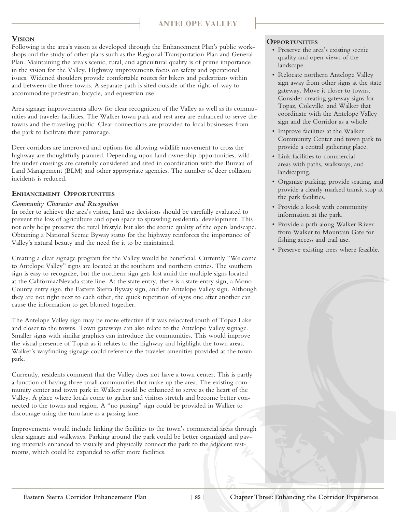# **Antelope Valley**

### **Vision**

Following is the area's vision as developed through the Enhancement Plan's public workshops and the study of other plans such as the Regional Transportation Plan and General Plan. Maintaining the area's scenic, rural, and agricultural quality is of prime importance in the vision for the Valley. Highway improvements focus on safety and operational issues. Widened shoulders provide comfortable routes for bikers and pedestrians within and between the three towns. A separate path is sited outside of the right-of-way to accommodate pedestrian, bicycle, and equestrian use.

Area signage improvements allow for clear recognition of the Valley as well as its communities and traveler facilities. The Walker town park and rest area are enhanced to serve the towns and the traveling public. Clear connections are provided to local businesses from the park to facilitate their patronage.

Deer corridors are improved and options for allowing wildlife movement to cross the highway are thoughtfully planned. Depending upon land ownership opportunities, wildlife under crossings are carefully considered and sited in coordination with the Bureau of Land Management (BLM) and other appropriate agencies. The number of deer collision incidents is reduced.

#### **Enhancement Opportunities**

#### *Community Character and Recognition*

In order to achieve the area's vision, land use decisions should be carefully evaluated to prevent the loss of agriculture and open space to sprawling residential development. This not only helps preserve the rural lifestyle but also the scenic quality of the open landscape. Obtaining a National Scenic Byway status for the highway reinforces the importance of Valley's natural beauty and the need for it to be maintained.

Creating a clear signage program for the Valley would be beneficial. Currently "Welcome to Antelope Valley" signs are located at the southern and northern entries. The southern sign is easy to recognize, but the northern sign gets lost amid the multiple signs located at the California/Nevada state line. At the state entry, there is a state entry sign, a Mono County entry sign, the Eastern Sierra Byway sign, and the Antelope Valley sign. Although they are not right next to each other, the quick repetition of signs one after another can cause the information to get blurred together.

The Antelope Valley sign may be more effective if it was relocated south of Topaz Lake and closer to the towns. Town gateways can also relate to the Antelope Valley signage. Smaller signs with similar graphics can introduce the communities. This would improve the visual presence of Topaz as it relates to the highway and highlight the town areas. Walker's wayfinding signage could reference the traveler amenities provided at the town park.

Currently, residents comment that the Valley does not have a town center. This is partly a function of having three small communities that make up the area. The existing community center and town park in Walker could be enhanced to serve as the heart of the Valley. A place where locals come to gather and visitors stretch and become better connected to the towns and region. A "no passing" sign could be provided in Walker to discourage using the turn lane as a passing lane.

Improvements would include linking the facilities to the town's commercial areas through clear signage and walkways. Parking around the park could be better organized and paving materials enhanced to visually and physically connect the park to the adjacent restrooms, which could be expanded to offer more facilities.

#### **Opportunities**

- Preserve the area's existing scenic quality and open views of the landscape.
- Relocate northern Antelope Valley sign away from other signs at the state gateway. Move it closer to towns. Consider creating gateway signs for Topaz, Coleville, and Walker that coordinate with the Antelope Valley sign and the Corridor as a whole.
- Improve facilities at the Walker Community Center and town park to provide a central gathering place.
- Link facilities to commercial areas with paths, walkways, and landscaping.
- Organize parking, provide seating, and provide a clearly marked transit stop at the park facilities.
- Provide a kiosk with community information at the park.
- Provide a path along Walker River from Walker to Mountain Gate for fishing access and trail use.
- Preserve existing trees where feasible.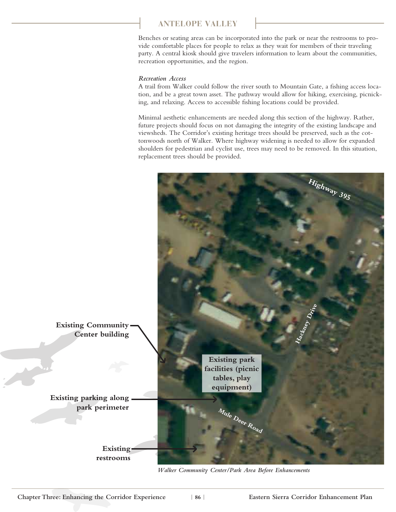# **ANTELOPE valley**

Benches or seating areas can be incorporated into the park or near the restrooms to provide comfortable places for people to relax as they wait for members of their traveling party. A central kiosk should give travelers information to learn about the communities, recreation opportunities, and the region.

#### *Recreation Access*

A trail from Walker could follow the river south to Mountain Gate, a fishing access location, and be a great town asset. The pathway would allow for hiking, exercising, picnicking, and relaxing. Access to accessible fishing locations could be provided.

Minimal aesthetic enhancements are needed along this section of the highway. Rather, future projects should focus on not damaging the integrity of the existing landscape and viewsheds. The Corridor's existing heritage trees should be preserved, such as the cottonwoods north of Walker. Where highway widening is needed to allow for expanded shoulders for pedestrian and cyclist use, trees may need to be removed. In this situation, replacement trees should be provided.



*Walker Community Center/Park Area Before Enhancements*